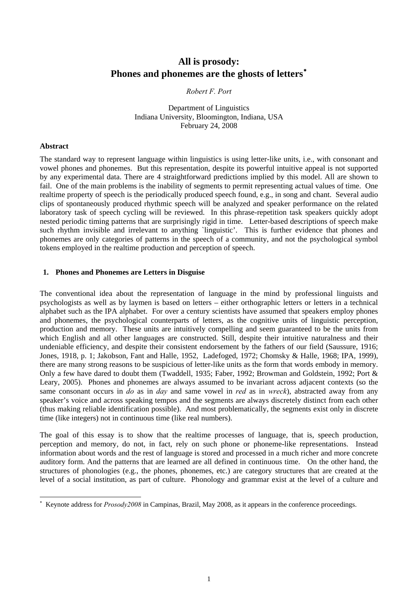# **All is prosody: Phones and phonemes are the ghosts of letters**[∗](#page-0-0)

# *Robert F. Port*

Department of Linguistics Indiana University, Bloomington, Indiana, USA February 24, 2008

#### **Abstract**

 $\overline{a}$ 

The standard way to represent language within linguistics is using letter-like units, i.e., with consonant and vowel phones and phonemes. But this representation, despite its powerful intuitive appeal is not supported by any experimental data. There are 4 straightforward predictions implied by this model. All are shown to fail. One of the main problems is the inability of segments to permit representing actual values of time. One realtime property of speech is the periodically produced speech found, e.g., in song and chant. Several audio clips of spontaneously produced rhythmic speech will be analyzed and speaker performance on the related laboratory task of speech cycling will be reviewed. In this phrase-repetition task speakers quickly adopt nested periodic timing patterns that are surprisingly rigid in time. Letter-based descriptions of speech make such rhythm invisible and irrelevant to anything `linguistic'. This is further evidence that phones and phonemes are only categories of patterns in the speech of a community, and not the psychological symbol tokens employed in the realtime production and perception of speech.

### **1. Phones and Phonemes are Letters in Disguise**

The conventional idea about the representation of language in the mind by professional linguists and psychologists as well as by laymen is based on letters – either orthographic letters or letters in a technical alphabet such as the IPA alphabet. For over a century scientists have assumed that speakers employ phones and phonemes, the psychological counterparts of letters, as the cognitive units of linguistic perception, production and memory. These units are intuitively compelling and seem guaranteed to be the units from which English and all other languages are constructed. Still, despite their intuitive naturalness and their undeniable efficiency, and despite their consistent endorsement by the fathers of our field (Saussure, 1916; Jones, 1918, p. 1; Jakobson, Fant and Halle, 1952, Ladefoged, 1972; Chomsky & Halle, 1968; IPA, 1999), there are many strong reasons to be suspicious of letter-like units as the form that words embody in memory. Only a few have dared to doubt them (Twaddell, 1935; Faber, 1992; Browman and Goldstein, 1992; Port & Leary, 2005). Phones and phonemes are always assumed to be invariant across adjacent contexts (so the same consonant occurs in *do* as in *day* and same vowel in *red* as in *wreck*), abstracted away from any speaker's voice and across speaking tempos and the segments are always discretely distinct from each other (thus making reliable identification possible). And most problematically, the segments exist only in discrete time (like integers) not in continuous time (like real numbers).

The goal of this essay is to show that the realtime processes of language, that is, speech production, perception and memory, do not, in fact, rely on such phone or phoneme-like representations. Instead information about words and the rest of language is stored and processed in a much richer and more concrete auditory form. And the patterns that are learned are all defined in continuous time. On the other hand, the structures of phonologies (e.g., the phones, phonemes, etc.) are category structures that are created at the level of a social institution, as part of culture. Phonology and grammar exist at the level of a culture and

<span id="page-0-0"></span><sup>∗</sup> Keynote address for *Prosody2008* in Campinas, Brazil, May 2008, as it appears in the conference proceedings.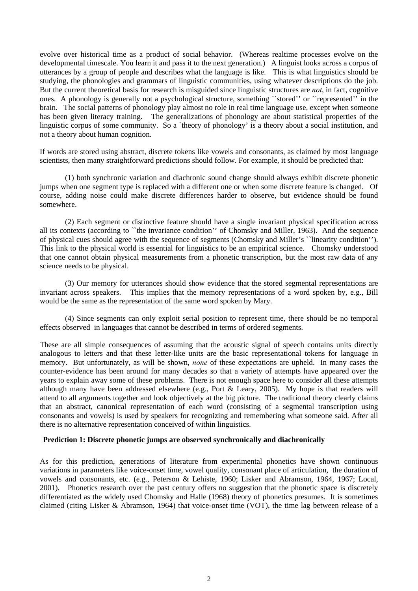evolve over historical time as a product of social behavior. (Whereas realtime processes evolve on the developmental timescale. You learn it and pass it to the next generation.) A linguist looks across a corpus of utterances by a group of people and describes what the language is like. This is what linguistics should be studying, the phonologies and grammars of linguistic communities, using whatever descriptions do the job. But the current theoretical basis for research is misguided since linguistic structures are *not*, in fact, cognitive ones. A phonology is generally not a psychological structure, something ``stored'' or ``represented'' in the brain. The social patterns of phonology play almost no role in real time language use, except when someone has been given literacy training. The generalizations of phonology are about statistical properties of the linguistic corpus of some community. So a `theory of phonology' is a theory about a social institution, and not a theory about human cognition.

If words are stored using abstract, discrete tokens like vowels and consonants, as claimed by most language scientists, then many straightforward predictions should follow. For example, it should be predicted that:

 (1) both synchronic variation and diachronic sound change should always exhibit discrete phonetic jumps when one segment type is replaced with a different one or when some discrete feature is changed. Of course, adding noise could make discrete differences harder to observe, but evidence should be found somewhere.

 (2) Each segment or distinctive feature should have a single invariant physical specification across all its contexts (according to ``the invariance condition'' of Chomsky and Miller, 1963). And the sequence of physical cues should agree with the sequence of segments (Chomsky and Miller's ``linearity condition''). This link to the physical world is essential for linguistics to be an empirical science. Chomsky understood that one cannot obtain physical measurements from a phonetic transcription, but the most raw data of any science needs to be physical.

 (3) Our memory for utterances should show evidence that the stored segmental representations are invariant across speakers. This implies that the memory representations of a word spoken by, e.g., Bill would be the same as the representation of the same word spoken by Mary.

 (4) Since segments can only exploit serial position to represent time, there should be no temporal effects observed in languages that cannot be described in terms of ordered segments.

These are all simple consequences of assuming that the acoustic signal of speech contains units directly analogous to letters and that these letter-like units are the basic representational tokens for language in memory. But unfortunately, as will be shown, *none* of these expectations are upheld. In many cases the counter-evidence has been around for many decades so that a variety of attempts have appeared over the years to explain away some of these problems. There is not enough space here to consider all these attempts although many have been addressed elsewhere (e.g., Port & Leary, 2005). My hope is that readers will attend to all arguments together and look objectively at the big picture. The traditional theory clearly claims that an abstract, canonical representation of each word (consisting of a segmental transcription using consonants and vowels) is used by speakers for recognizing and remembering what someone said. After all there is no alternative representation conceived of within linguistics.

#### **Prediction 1: Discrete phonetic jumps are observed synchronically and diachronically**

As for this prediction, generations of literature from experimental phonetics have shown continuous variations in parameters like voice-onset time, vowel quality, consonant place of articulation, the duration of vowels and consonants, etc. (e.g., Peterson & Lehiste, 1960; Lisker and Abramson, 1964, 1967; Local, 2001). Phonetics research over the past century offers no suggestion that the phonetic space is discretely differentiated as the widely used Chomsky and Halle (1968) theory of phonetics presumes. It is sometimes claimed (citing Lisker & Abramson, 1964) that voice-onset time (VOT), the time lag between release of a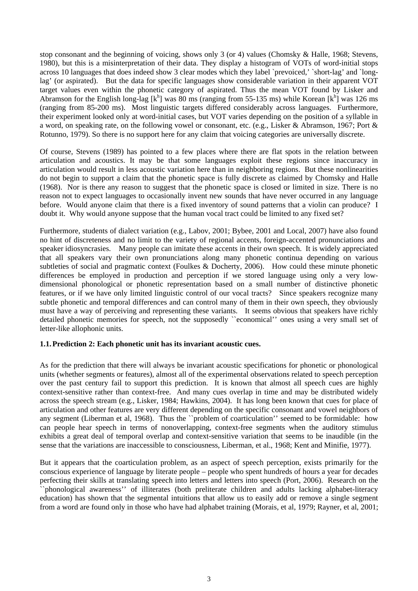stop consonant and the beginning of voicing, shows only 3 (or 4) values (Chomsky & Halle, 1968; Stevens, 1980), but this is a misinterpretation of their data. They display a histogram of VOTs of word-initial stops across 10 languages that does indeed show 3 clear modes which they label `prevoiced,' `short-lag' and `longlag' (or aspirated). But the data for specific languages show considerable variation in their apparent VOT target values even within the phonetic category of aspirated. Thus the mean VOT found by Lisker and Abramson for the English long-lag  $[k^h]$  was 80 ms (ranging from 55-135 ms) while Korean  $[k^h]$  was 126 ms (ranging from 85-200 ms). Most linguistic targets differed considerably across languages. Furthermore, their experiment looked only at word-initial cases, but VOT varies depending on the position of a syllable in a word, on speaking rate, on the following vowel or consonant, etc. (e.g., Lisker & Abramson, 1967; Port & Rotunno, 1979). So there is no support here for any claim that voicing categories are universally discrete.

Of course, Stevens (1989) has pointed to a few places where there are flat spots in the relation between articulation and acoustics. It may be that some languages exploit these regions since inaccuracy in articulation would result in less acoustic variation here than in neighboring regions. But these nonlinearities do not begin to support a claim that the phonetic space is fully discrete as claimed by Chomsky and Halle (1968). Nor is there any reason to suggest that the phonetic space is closed or limited in size. There is no reason not to expect languages to occasionally invent new sounds that have never occurred in any language before. Would anyone claim that there is a fixed inventory of sound patterns that a violin can produce? I doubt it. Why would anyone suppose that the human vocal tract could be limited to any fixed set?

Furthermore, students of dialect variation (e.g., Labov, 2001; Bybee, 2001 and Local, 2007) have also found no hint of discreteness and no limit to the variety of regional accents, foreign-accented pronunciations and speaker idiosyncrasies. Many people can imitate these accents in their own speech. It is widely appreciated that all speakers vary their own pronunciations along many phonetic continua depending on various subtleties of social and pragmatic context (Foulkes & Docherty, 2006). How could these minute phonetic differences be employed in production and perception if we stored language using only a very lowdimensional phonological or phonetic representation based on a small number of distinctive phonetic features, or if we have only limited linguistic control of our vocal tracts? Since speakers recognize many subtle phonetic and temporal differences and can control many of them in their own speech, they obviously must have a way of perceiving and representing these variants. It seems obvious that speakers have richly detailed phonetic memories for speech, not the supposedly ``economical'' ones using a very small set of letter-like allophonic units.

# **1.1.Prediction 2: Each phonetic unit has its invariant acoustic cues.**

As for the prediction that there will always be invariant acoustic specifications for phonetic or phonological units (whether segments or features), almost all of the experimental observations related to speech perception over the past century fail to support this prediction. It is known that almost all speech cues are highly context-sensitive rather than context-free. And many cues overlap in time and may be distributed widely across the speech stream (e.g., Lisker, 1984; Hawkins, 2004). It has long been known that cues for place of articulation and other features are very different depending on the specific consonant and vowel neighbors of any segment (Liberman et al, 1968). Thus the ``problem of coarticulation'' seemed to be formidable: how can people hear speech in terms of nonoverlapping, context-free segments when the auditory stimulus exhibits a great deal of temporal overlap and context-sensitive variation that seems to be inaudible (in the sense that the variations are inaccessible to consciousness, Liberman, et al., 1968; Kent and Minifie, 1977).

But it appears that the coarticulation problem, as an aspect of speech perception, exists primarily for the conscious experience of language by literate people – people who spent hundreds of hours a year for decades perfecting their skills at translating speech into letters and letters into speech (Port, 2006). Research on the `phonological awareness'' of illiterates (both preliterate children and adults lacking alphabet-literacy education) has shown that the segmental intuitions that allow us to easily add or remove a single segment from a word are found only in those who have had alphabet training (Morais, et al, 1979; Rayner, et al, 2001;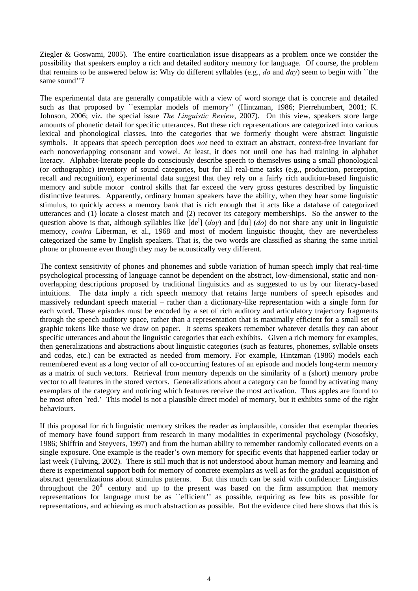Ziegler & Goswami, 2005). The entire coarticulation issue disappears as a problem once we consider the possibility that speakers employ a rich and detailed auditory memory for language. Of course, the problem that remains to be answered below is: Why do different syllables (e.g., *do* and *day*) seem to begin with ``the same sound"?

The experimental data are generally compatible with a view of word storage that is concrete and detailed such as that proposed by "exemplar models of memory" (Hintzman, 1986; Pierrehumbert, 2001; K. Johnson, 2006; viz. the special issue *The Linguistic Review*, 2007). On this view, speakers store large amounts of phonetic detail for specific utterances. But these rich representations are categorized into various lexical and phonological classes, into the categories that we formerly thought were abstract linguistic symbols. It appears that speech perception does *not* need to extract an abstract, context-free invariant for each nonoverlapping consonant and vowel. At least, it does not until one has had training in alphabet literacy. Alphabet-literate people do consciously describe speech to themselves using a small phonological (or orthographic) inventory of sound categories, but for all real-time tasks (e.g., production, perception, recall and recognition), experimental data suggest that they rely on a fairly rich audition-based linguistic memory and subtle motor control skills that far exceed the very gross gestures described by linguistic distinctive features. Apparently, ordinary human speakers have the ability, when they hear some linguistic stimulus, to quickly access a memory bank that is rich enough that it acts like a database of categorized utterances and (1) locate a closest match and (2) recover its category memberships. So the answer to the question above is that, although syllables like  $[de^I]$  (*day*) and  $[du]$  (*do*) do not share any unit in linguistic memory, *contra* Liberman, et al., 1968 and most of modern linguistic thought, they are nevertheless categorized the same by English speakers. That is, the two words are classified as sharing the same initial phone or phoneme even though they may be acoustically very different.

The context sensitivity of phones and phonemes and subtle variation of human speech imply that real-time psychological processing of language cannot be dependent on the abstract, low-dimensional, static and nonoverlapping descriptions proposed by traditional linguistics and as suggested to us by our literacy-based intuitions. The data imply a rich speech memory that retains large numbers of speech episodes and massively redundant speech material – rather than a dictionary-like representation with a single form for each word. These episodes must be encoded by a set of rich auditory and articulatory trajectory fragments through the speech auditory space, rather than a representation that is maximally efficient for a small set of graphic tokens like those we draw on paper. It seems speakers remember whatever details they can about specific utterances and about the linguistic categories that each exhibits. Given a rich memory for examples, then generalizations and abstractions about linguistic categories (such as features, phonemes, syllable onsets and codas, etc.) can be extracted as needed from memory. For example, Hintzman (1986) models each remembered event as a long vector of all co-occurring features of an episode and models long-term memory as a matrix of such vectors. Retrieval from memory depends on the similarity of a (short) memory probe vector to all features in the stored vectors. Generalizations about a category can be found by activating many exemplars of the category and noticing which features receive the most activation. Thus apples are found to be most often `red.' This model is not a plausible direct model of memory, but it exhibits some of the right behaviours.

If this proposal for rich linguistic memory strikes the reader as implausible, consider that exemplar theories of memory have found support from research in many modalities in experimental psychology (Nosofsky, 1986; Shiffrin and Steyvers, 1997) and from the human ability to remember randomly collocated events on a single exposure. One example is the reader's own memory for specific events that happened earlier today or last week (Tulving, 2002). There is still much that is not understood about human memory and learning and there is experimental support both for memory of concrete exemplars as well as for the gradual acquisition of abstract generalizations about stimulus patterns. But this much can be said with confidence: Linguistics throughout the  $20<sup>th</sup>$  century and up to the present was based on the firm assumption that memory representations for language must be as ``efficient'' as possible, requiring as few bits as possible for representations, and achieving as much abstraction as possible. But the evidence cited here shows that this is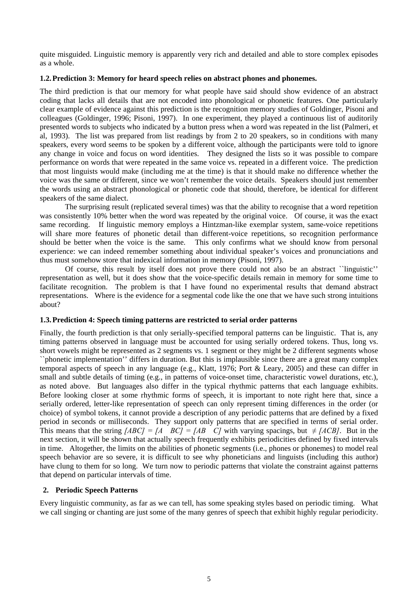quite misguided. Linguistic memory is apparently very rich and detailed and able to store complex episodes as a whole.

### **1.2.Prediction 3: Memory for heard speech relies on abstract phones and phonemes.**

The third prediction is that our memory for what people have said should show evidence of an abstract coding that lacks all details that are not encoded into phonological or phonetic features. One particularly clear example of evidence against this prediction is the recognition memory studies of Goldinger, Pisoni and colleagues (Goldinger, 1996; Pisoni, 1997). In one experiment, they played a continuous list of auditorily presented words to subjects who indicated by a button press when a word was repeated in the list (Palmeri, et al, 1993). The list was prepared from list readings by from 2 to 20 speakers, so in conditions with many speakers, every word seems to be spoken by a different voice, although the participants were told to ignore any change in voice and focus on word identities. They designed the lists so it was possible to compare performance on words that were repeated in the same voice vs. repeated in a different voice. The prediction that most linguists would make (including me at the time) is that it should make no difference whether the voice was the same or different, since we won't remember the voice details. Speakers should just remember the words using an abstract phonological or phonetic code that should, therefore, be identical for different speakers of the same dialect.

The surprising result (replicated several times) was that the ability to recognise that a word repetition was consistently 10% better when the word was repeated by the original voice. Of course, it was the exact same recording. If linguistic memory employs a Hintzman-like exemplar system, same-voice repetitions will share more features of phonetic detail than different-voice repetitions, so recognition performance should be better when the voice is the same. This only confirms what we should know from personal experience: we can indeed remember something about individual speaker's voices and pronunciations and thus must somehow store that indexical information in memory (Pisoni, 1997).

Of course, this result by itself does not prove there could not also be an abstract ``linguistic'' representation as well, but it does show that the voice-specific details remain in memory for some time to facilitate recognition. The problem is that I have found no experimental results that demand abstract representations. Where is the evidence for a segmental code like the one that we have such strong intuitions about?

#### **1.3.Prediction 4: Speech timing patterns are restricted to serial order patterns**

Finally, the fourth prediction is that only serially-specified temporal patterns can be linguistic. That is, any timing patterns observed in language must be accounted for using serially ordered tokens. Thus, long vs. short vowels might be represented as 2 segments vs. 1 segment or they might be 2 different segments whose ``phonetic implementation'' differs in duration. But this is implausible since there are a great many complex temporal aspects of speech in any language (e.g., Klatt, 1976; Port & Leary, 2005) and these can differ in small and subtle details of timing (e.g., in patterns of voice-onset time, characteristic vowel durations, etc.), as noted above. But languages also differ in the typical rhythmic patterns that each language exhibits. Before looking closer at some rhythmic forms of speech, it is important to note right here that, since a serially ordered, letter-like representation of speech can only represent timing differences in the order (or choice) of symbol tokens, it cannot provide a description of any periodic patterns that are defined by a fixed period in seconds or milliseconds. They support only patterns that are specified in terms of serial order. This means that the string  $[ABC] = [A \ BC] = [AB \ C]$  with varying spacings, but  $\neq [ACB]$ . But in the next section, it will be shown that actually speech frequently exhibits periodicities defined by fixed intervals in time. Altogether, the limits on the abilities of phonetic segments (i.e., phones or phonemes) to model real speech behavior are so severe, it is difficult to see why phoneticians and linguists (including this author) have clung to them for so long. We turn now to periodic patterns that violate the constraint against patterns that depend on particular intervals of time.

# **2. Periodic Speech Patterns**

Every linguistic community, as far as we can tell, has some speaking styles based on periodic timing. What we call singing or chanting are just some of the many genres of speech that exhibit highly regular periodicity.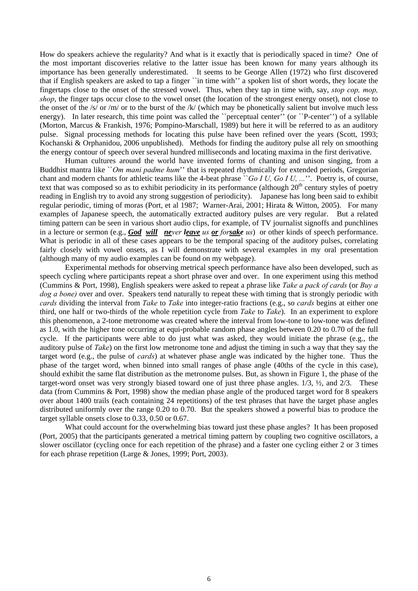How do speakers achieve the regularity? And what is it exactly that is periodically spaced in time? One of the most important discoveries relative to the latter issue has been known for many years although its importance has been generally underestimated. It seems to be George Allen (1972) who first discovered that if English speakers are asked to tap a finger ``in time with'' a spoken list of short words, they locate the fingertaps close to the onset of the stressed vowel. Thus, when they tap in time with, say, *stop cop, mop, shop*, the finger taps occur close to the vowel onset (the location of the strongest energy onset), not close to the onset of the /s/ or /m/ or to the burst of the /k/ (which may be phonetically salient but involve much less energy). In later research, this time point was called the "perceptual center" (or "P-center") of a syllable (Morton, Marcus & Frankish, 1976; Pompino-Marschall, 1989) but here it will be referred to as an auditory pulse. Signal processing methods for locating this pulse have been refined over the years (Scott, 1993; Kochanski & Orphanidou, 2006 unpublished). Methods for finding the auditory pulse all rely on smoothing the energy contour of speech over several hundred milliseconds and locating maxima in the first derivative.

Human cultures around the world have invented forms of chanting and unison singing, from a Buddhist mantra like ``*Om mani padme hum*'' that is repeated rhythmically for extended periods, Gregorian chant and modern chants for athletic teams like the 4-beat phrase `*`Go I U, Go I U, ...*''. Poetry is, of course, text that was composed so as to exhibit periodicity in its performance (although  $20<sup>th</sup>$  century styles of poetry reading in English try to avoid any strong suggestion of periodicity). Japanese has long been said to exhibit regular periodic, timing of moras (Port, et al 1987; Warner-Arai, 2001; Hirata & Witton, 2005). For many examples of Japanese speech, the automatically extracted auditory pulses are very regular. But a related timing pattern can be seen in various short audio clips, for example, of TV journalist signoffs and punchlines in a lecture or sermon (e.g., *God will never leave us or forsake us*) or other kinds of speech performance. What is periodic in all of these cases appears to be the temporal spacing of the auditory pulses, correlating fairly closely with vowel onsets, as I will demonstrate with several examples in my oral presentation (although many of my audio examples can be found on my webpage).

Experimental methods for observing metrical speech performance have also been developed, such as speech cycling where participants repeat a short phrase over and over. In one experiment using this method (Cummins & Port, 1998), English speakers were asked to repeat a phrase like *Take a pack of cards* (or *Buy a dog a bone)* over and over. Speakers tend naturally to repeat these with timing that is strongly periodic with *cards* dividing the interval from *Take* to *Take* into integer-ratio fractions (e.g., so *cards* begins at either one third, one half or two-thirds of the whole repetition cycle from *Take* to *Take*). In an experiment to explore this phenomenon, a 2-tone metronome was created where the interval from low-tone to low-tone was defined as 1.0, with the higher tone occurring at equi-probable random phase angles between 0.20 to 0.70 of the full cycle. If the participants were able to do just what was asked, they would initiate the phrase (e.g., the auditory pulse of *Take*) on the first low metronome tone and adjust the timing in such a way that they say the target word (e.g., the pulse of *cards*) at whatever phase angle was indicated by the higher tone. Thus the phase of the target word, when binned into small ranges of phase angle (40ths of the cycle in this case), should exhibit the same flat distribution as the metronome pulses. But, as shown in Figure 1, the phase of the target-word onset was very strongly biased toward one of just three phase angles. 1/3, ½, and 2/3. These data (from Cummins & Port, 1998) show the median phase angle of the produced target word for 8 speakers over about 1400 trails (each containing 24 repetitions) of the test phrases that have the target phase angles distributed uniformly over the range 0.20 to 0.70. But the speakers showed a powerful bias to produce the target syllable onsets close to 0.33, 0.50 or 0.67.

What could account for the overwhelming bias toward just these phase angles? It has been proposed (Port, 2005) that the participants generated a metrical timing pattern by coupling two cognitive oscillators, a slower oscillator (cycling once for each repetition of the phrase) and a faster one cycling either 2 or 3 times for each phrase repetition (Large & Jones, 1999; Port, 2003).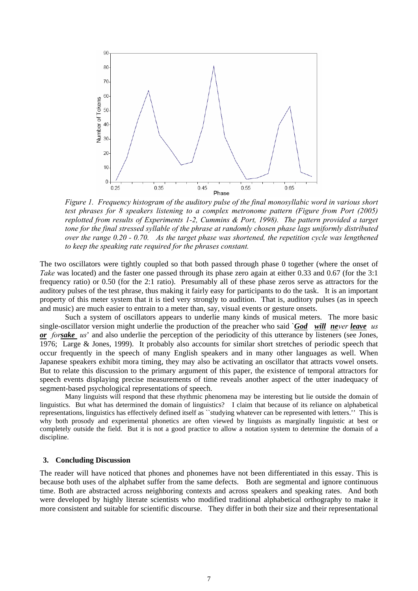

*Figure 1. Frequency histogram of the auditory pulse of the final monosyllabic word in various short test phrases for 8 speakers listening to a complex metronome pattern (Figure from Port (2005) replotted from results of Experiments 1-2, Cummins & Port, 1998). The pattern provided a target tone for the final stressed syllable of the phrase at randomly chosen phase lags uniformly distributed over the range 0.20 - 0.70. As the target phase was shortened, the repetition cycle was lengthened to keep the speaking rate required for the phrases constant.* 

The two oscillators were tightly coupled so that both passed through phase 0 together (where the onset of *Take* was located) and the faster one passed through its phase zero again at either 0.33 and 0.67 (for the 3:1) frequency ratio) or 0.50 (for the 2:1 ratio). Presumably all of these phase zeros serve as attractors for the auditory pulses of the test phrase, thus making it fairly easy for participants to do the task. It is an important property of this meter system that it is tied very strongly to audition. That is, auditory pulses (as in speech and music) are much easier to entrain to a meter than, say, visual events or gesture onsets.

Such a system of oscillators appears to underlie many kinds of musical meters. The more basic single-oscillator version might underlie the production of the preacher who said `*God will never leave us or forsake us*' and also underlie the perception of the periodicity of this utterance by listeners (see Jones, 1976; Large & Jones, 1999). It probably also accounts for similar short stretches of periodic speech that occur frequently in the speech of many English speakers and in many other languages as well. When Japanese speakers exhibit mora timing, they may also be activating an oscillator that attracts vowel onsets. But to relate this discussion to the primary argument of this paper, the existence of temporal attractors for speech events displaying precise measurements of time reveals another aspect of the utter inadequacy of segment-based psychological representations of speech.

Many linguists will respond that these rhythmic phenomena may be interesting but lie outside the domain of linguistics. But what has determined the domain of linguistics? I claim that because of its reliance on alphabetical representations, linguistics has effectively defined itself as ``studying whatever can be represented with letters.'' This is why both prosody and experimental phonetics are often viewed by linguists as marginally linguistic at best or completely outside the field. But it is not a good practice to allow a notation system to determine the domain of a discipline.

#### **3. Concluding Discussion**

The reader will have noticed that phones and phonemes have not been differentiated in this essay. This is because both uses of the alphabet suffer from the same defects. Both are segmental and ignore continuous time. Both are abstracted across neighboring contexts and across speakers and speaking rates. And both were developed by highly literate scientists who modified traditional alphabetical orthography to make it more consistent and suitable for scientific discourse. They differ in both their size and their representational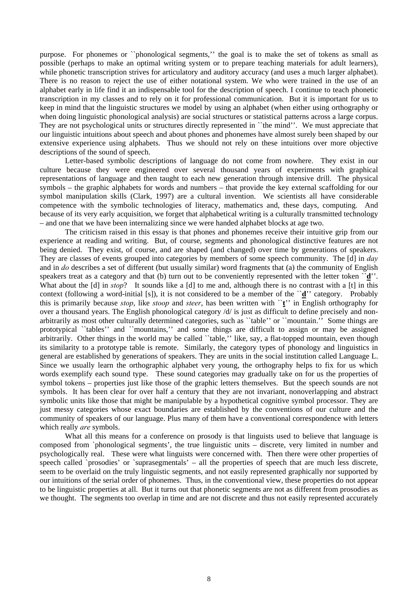purpose. For phonemes or ``phonological segments,'' the goal is to make the set of tokens as small as possible (perhaps to make an optimal writing system or to prepare teaching materials for adult learners), while phonetic transcription strives for articulatory and auditory accuracy (and uses a much larger alphabet). There is no reason to reject the use of either notational system. We who were trained in the use of an alphabet early in life find it an indispensable tool for the description of speech. I continue to teach phonetic transcription in my classes and to rely on it for professional communication. But it is important for us to keep in mind that the linguistic structures we model by using an alphabet (when either using orthography or when doing linguistic phonological analysis) are social structures or statistical patterns across a large corpus. They are not psychological units or structures directly represented in ``the mind''. We must appreciate that our linguistic intuitions about speech and about phones and phonemes have almost surely been shaped by our extensive experience using alphabets. Thus we should not rely on these intuitions over more objective descriptions of the sound of speech.

Letter-based symbolic descriptions of language do not come from nowhere. They exist in our culture because they were engineered over several thousand years of experiments with graphical representations of language and then taught to each new generation through intensive drill. The physical symbols – the graphic alphabets for words and numbers – that provide the key external scaffolding for our symbol manipulation skills (Clark, 1997) are a cultural invention. We scientists all have considerable competence with the symbolic technologies of literacy, mathematics and, these days, computing. And because of its very early acquisition, we forget that alphabetical writing is a culturally transmitted technology – and one that we have been internalizing since we were handed alphabet blocks at age two.

 The criticism raised in this essay is that phones and phonemes receive their intuitive grip from our experience at reading and writing. But, of course, segments and phonological distinctive features are not being denied. They exist, of course, and are shaped (and changed) over time by generations of speakers. They are classes of events grouped into categories by members of some speech community. The [d] in *day* and in *do* describes a set of different (but usually similar) word fragments that (a) the community of English speakers treat as a category and that (b) turn out to be conveniently represented with the letter token  $\check{d}'$ . What about the [d] in *stop*? It sounds like a [d] to me and, although there is no contrast with a [t] in this context (following a word-initial [s]), it is not considered to be a member of the ``**d**'' category. Probably this is primarily because *stop*, like *stoop* and *steer*, has been written with ``**t**'' in English orthography for over a thousand years. The English phonological category /d/ is just as difficult to define precisely and nonarbitrarily as most other culturally determined categories, such as ``table'' or ``mountain.'' Some things are prototypical ``tables'' and ``mountains,'' and some things are difficult to assign or may be assigned arbitrarily. Other things in the world may be called "table," like, say, a flat-topped mountain, even though its similarity to a prototype table is remote. Similarly, the category types of phonology and linguistics in general are established by generations of speakers. They are units in the social institution called Language L. Since we usually learn the orthographic alphabet very young, the orthography helps to fix for us which words exemplify each sound type. These sound categories may gradually take on for us the properties of symbol tokens – properties just like those of the graphic letters themselves. But the speech sounds are not symbols. It has been clear for over half a century that they are not invariant, nonoverlapping and abstract symbolic units like those that might be manipulable by a hypothetical cognitive symbol processor. They are just messy categories whose exact boundaries are established by the conventions of our culture and the community of speakers of our language. Plus many of them have a conventional correspondence with letters which really *are* symbols.

What all this means for a conference on prosody is that linguists used to believe that language is composed from `phonological segments', the true linguistic units – discrete, very limited in number and psychologically real. These were what linguists were concerned with. Then there were other properties of speech called `prosodies' or `suprasegmentals' – all the properties of speech that are much less discrete, seem to be overlaid on the truly linguistic segments, and not easily represented graphically nor supported by our intuitions of the serial order of phonemes. Thus, in the conventional view, these properties do not appear to be linguistic properties at all. But it turns out that phonetic segments are not as different from prosodies as we thought. The segments too overlap in time and are not discrete and thus not easily represented accurately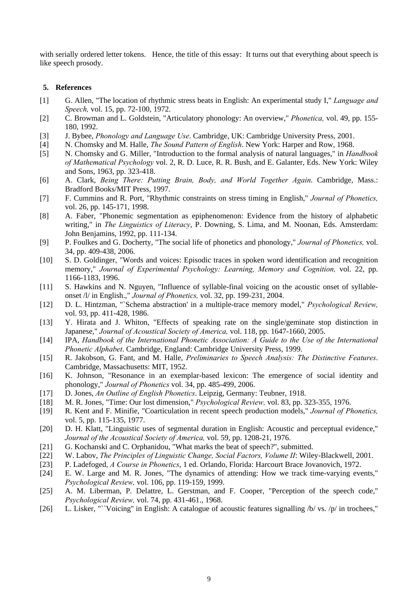with serially ordered letter tokens. Hence, the title of this essay: It turns out that everything about speech is like speech prosody.

### **5. References**

- [1] G. Allen, "The location of rhythmic stress beats in English: An experimental study I," *Language and Speech,* vol. 15, pp. 72-100, 1972.
- [2] C. Browman and L. Goldstein, "Articulatory phonology: An overview," *Phonetica,* vol. 49, pp. 155- 180, 1992.
- [3] J. Bybee, *Phonology and Language Use*. Cambridge, UK: Cambridge University Press, 2001.
- [4] N. Chomsky and M. Halle, *The Sound Pattern of English*. New York: Harper and Row, 1968.
- [5] N. Chomsky and G. Miller, "Introduction to the formal analysis of natural languages," in *Handbook of Mathematical Psychology* vol. 2, R. D. Luce, R. R. Bush, and E. Galanter, Eds. New York: Wiley and Sons, 1963, pp. 323-418.
- [6] A. Clark, *Being There: Putting Brain, Body, and World Together Again*. Cambridge, Mass.: Bradford Books/MIT Press, 1997.
- [7] F. Cummins and R. Port, "Rhythmic constraints on stress timing in English," *Journal of Phonetics,*  vol. 26, pp. 145-171, 1998.
- [8] A. Faber, "Phonemic segmentation as epiphenomenon: Evidence from the history of alphabetic writing," in *The Linguistics of Literacy*, P. Downing, S. Lima, and M. Noonan, Eds. Amsterdam: John Benjamins, 1992, pp. 111-134.
- [9] P. Foulkes and G. Docherty, "The social life of phonetics and phonology," *Journal of Phonetics,* vol. 34, pp. 409-438, 2006.
- [10] S. D. Goldinger, "Words and voices: Episodic traces in spoken word identification and recognition memory," *Journal of Experimental Psychology: Learning, Memory and Cognition,* vol. 22, pp. 1166-1183, 1996.
- [11] S. Hawkins and N. Nguyen, "Influence of syllable-final voicing on the acoustic onset of syllableonset /l/ in English.," *Journal of Phonetics,* vol. 32, pp. 199-231, 2004.
- [12] D. L. Hintzman, "`Schema abstraction' in a multiple-trace memory model," *Psychological Review,*  vol. 93, pp. 411-428, 1986.
- [13] Y. Hirata and J. Whiton, "Effects of speaking rate on the single/geminate stop distinction in Japanese," *Journal of Acoustical Society of America,* vol. 118, pp. 1647-1660, 2005.
- [14] IPA, *Handbook of the International Phonetic Association: A Guide to the Use of the International Phonetic Alphabet*. Cambridge, England: Cambridge University Press, 1999.
- [15] R. Jakobson, G. Fant, and M. Halle, *Preliminaries to Speech Analysis: The Distinctive Features*. Cambridge, Massachusetts: MIT, 1952.
- [16] K. Johnson, "Resonance in an exemplar-based lexicon: The emergence of social identity and phonology," *Journal of Phonetics* vol. 34, pp. 485-499, 2006.
- [17] D. Jones, *An Outline of English Phonetics*. Leipzig, Germany: Teubner, 1918.
- [18] M. R. Jones, "Time: Our lost dimension," *Psychological Review,* vol. 83, pp. 323-355, 1976.
- [19] R. Kent and F. Minifie, "Coarticulation in recent speech production models," *Journal of Phonetics,*  vol. 5, pp. 115-135, 1977.
- [20] D. H. Klatt, "Linguistic uses of segmental duration in English: Acoustic and perceptual evidence," *Journal of the Acoustical Society of America,* vol. 59, pp. 1208-21, 1976.
- [21] G. Kochanski and C. Orphanidou, "What marks the beat of speech?", submitted.
- [22] W. Labov, *The Principles of Linguistic Change, Social Factors, Volume II*: Wiley-Blackwell, 2001.
- [23] P. Ladefoged, *A Course in Phonetics*, 1 ed. Orlando, Florida: Harcourt Brace Jovanovich, 1972.
- [24] E. W. Large and M. R. Jones, "The dynamics of attending: How we track time-varying events," *Psychological Review,* vol. 106, pp. 119-159, 1999.
- [25] A. M. Liberman, P. Delattre, L. Gerstman, and F. Cooper, "Perception of the speech code," *Psychological Review,* vol. 74, pp. 431-461., 1968.
- [26] L. Lisker, "``Voicing'' in English: A catalogue of acoustic features signalling /b/ vs. /p/ in trochees,"